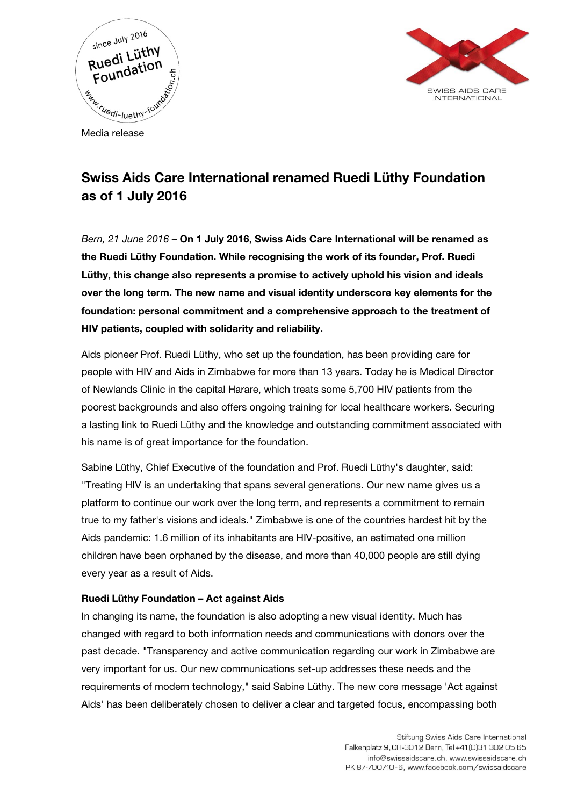



Media release

## Swiss Aids Care International renamed Ruedi Lüthy Foundation as of 1 July 2016

Bern, 21 June 2016 – On 1 July 2016, Swiss Aids Care International will be renamed as the Ruedi Lüthy Foundation. While recognising the work of its founder, Prof. Ruedi Lüthy, this change also represents a promise to actively uphold his vision and ideals over the long term. The new name and visual identity underscore key elements for the foundation: personal commitment and a comprehensive approach to the treatment of HIV patients, coupled with solidarity and reliability.

Aids pioneer Prof. Ruedi Lüthy, who set up the foundation, has been providing care for people with HIV and Aids in Zimbabwe for more than 13 years. Today he is Medical Director of Newlands Clinic in the capital Harare, which treats some 5,700 HIV patients from the poorest backgrounds and also offers ongoing training for local healthcare workers. Securing a lasting link to Ruedi Lüthy and the knowledge and outstanding commitment associated with his name is of great importance for the foundation.

Sabine Lüthy, Chief Executive of the foundation and Prof. Ruedi Lüthy's daughter, said: "Treating HIV is an undertaking that spans several generations. Our new name gives us a platform to continue our work over the long term, and represents a commitment to remain true to my father's visions and ideals." Zimbabwe is one of the countries hardest hit by the Aids pandemic: 1.6 million of its inhabitants are HIV-positive, an estimated one million children have been orphaned by the disease, and more than 40,000 people are still dying every year as a result of Aids.

## Ruedi Lüthy Foundation – Act against Aids

In changing its name, the foundation is also adopting a new visual identity. Much has changed with regard to both information needs and communications with donors over the past decade. "Transparency and active communication regarding our work in Zimbabwe are very important for us. Our new communications set-up addresses these needs and the requirements of modern technology," said Sabine Lüthy. The new core message 'Act against Aids' has been deliberately chosen to deliver a clear and targeted focus, encompassing both